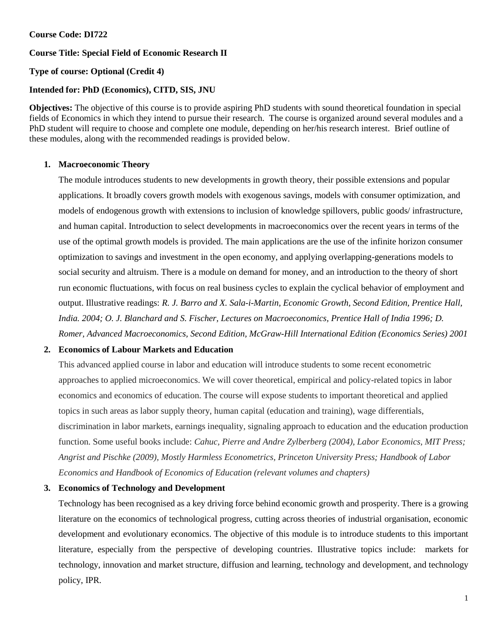# **Course Code: DI722**

# **Course Title: Special Field of Economic Research II**

# **Type of course: Optional (Credit 4)**

## **Intended for: PhD (Economics), CITD, SIS, JNU**

**Objectives:** The objective of this course is to provide aspiring PhD students with sound theoretical foundation in special fields of Economics in which they intend to pursue their research. The course is organized around several modules and a PhD student will require to choose and complete one module, depending on her/his research interest. Brief outline of these modules, along with the recommended readings is provided below.

#### **1. Macroeconomic Theory**

The module introduces students to new developments in growth theory, their possible extensions and popular applications. It broadly covers growth models with exogenous savings, models with consumer optimization, and models of endogenous growth with extensions to inclusion of knowledge spillovers, public goods/ infrastructure, and human capital. Introduction to select developments in macroeconomics over the recent years in terms of the use of the optimal growth models is provided. The main applications are the use of the infinite horizon consumer optimization to savings and investment in the open economy, and applying overlapping-generations models to social security and altruism. There is a module on demand for money, and an introduction to the theory of short run economic fluctuations, with focus on real business cycles to explain the cyclical behavior of employment and output. Illustrative readings: *R. J. Barro and X. Sala-i-Martin, Economic Growth, Second Edition, Prentice Hall, India. 2004; O. J. Blanchard and S. Fischer, Lectures on Macroeconomics, Prentice Hall of India 1996; D. Romer, Advanced Macroeconomics, Second Edition, McGraw-Hill International Edition (Economics Series) 2001*

# **2. Economics of Labour Markets and Education**

This advanced applied course in labor and education will introduce students to some recent econometric approaches to applied microeconomics. We will cover theoretical, empirical and policy-related topics in labor economics and economics of education. The course will expose students to important theoretical and applied topics in such areas as labor supply theory, human capital (education and training), wage differentials, discrimination in labor markets, earnings inequality, signaling approach to education and the education production function. Some useful books include: *Cahuc, Pierre and Andre Zylberberg (2004), Labor Economics, MIT Press; Angrist and Pischke (2009), Mostly Harmless Econometrics, Princeton University Press; Handbook of Labor Economics and Handbook of Economics of Education (relevant volumes and chapters)*

# **3. Economics of Technology and Development**

Technology has been recognised as a key driving force behind economic growth and prosperity. There is a growing literature on the economics of technological progress, cutting across theories of industrial organisation, economic development and evolutionary economics. The objective of this module is to introduce students to this important literature, especially from the perspective of developing countries. Illustrative topics include: markets for technology, innovation and market structure, diffusion and learning, technology and development, and technology policy, IPR.